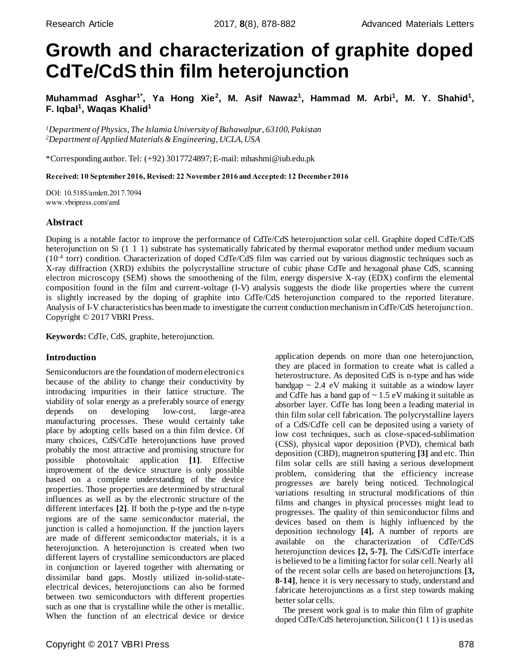# **Growth and characterization of graphite doped CdTe/CdS thin film heterojunction**

Muhammad Asghar<sup>1\*</sup>, Ya Hong Xie<sup>2</sup>, M. Asif Nawaz<sup>1</sup>, Hammad M. Arbi<sup>1</sup>, M. Y. Shahid<sup>1</sup>, **F. Iqbal<sup>1</sup> , Waqas Khalid<sup>1</sup>**

*<sup>1</sup>Department of Physics, The Islamia University of Bahawalpur, 63100, Pakistan <sup>2</sup>Department of Applied Materials & Engineering, UCLA, USA*

\*Corresponding author. Tel: (+92) 3017724897; E-mail[: mhashmi@iub.edu.pk](mailto:mhashmi@iub.edu.pk)

Received: 10 September 2016, Revised: 22 November 2016 and Accepted: 12 December 2016

DOI: 10.5185/amlett.2017.7094 [www.vbripress.com/aml](http://www.vbripress.com/aml)

# Abstract

Doping is a notable factor to improve the performance of CdTe/CdS heterojunction solar cell. Graphite doped CdTe/CdS heterojunction on Si (1 1 1) substrate has systematically fabricated by thermal evaporator method under medium vacuum (10-4 torr) condition. Characterization of doped CdTe/CdS film was carried out by various diagnostic techniques such as X-ray diffraction (XRD) exhibits the polycrystalline structure of cubic phase CdTe and hexagonal phase CdS, scanning electron microscopy (SEM) shows the smoothening of the film, energy dispersive X-ray (EDX) confirm the elemental composition found in the film and current-voltage (I-V) analysis suggests the diode like properties where the current is slightly increased by the doping of graphite into CdTe/CdS heterojunction compared to the reported literature. Analysis of I-V characteristics has been made to investigate the current conduction mechanism in CdTe/CdS heterojunction. Copyright © 2017 VBRI Press.

**Keywords:** CdTe, CdS, graphite, heterojunction.

# **Introduction**

Semiconductors are the foundation of modern electronics because of the ability to change their conductivity by introducing impurities in their lattice structure. The viability of solar energy as a preferably source of energy depends on developing low-cost, large-area manufacturing processes. These would certainly take place by adopting cells based on a thin film device. Of many choices, CdS/CdTe heterojunctions have proved probably the most attractive and promising structure for possible photovoltaic application **[\[1\]](#page-4-0)**. Effective improvement of the device structure is only possible based on a complete understanding of the device properties. Those properties are determined by structural influences as well as by the electronic structure of the different interfaces **[\[2](#page-4-1)]**. If both the p-type and the n-type regions are of the same semiconductor material, the junction is called a homojunction. If the junction layers are made of different semiconductor materials, it is a heterojunction. A heterojunction is created when two different layers of crystalline semiconductors are placed in conjunction or layered together with alternating or dissimilar band gaps. Mostly utilized in-solid-stateelectrical devices, heterojunctions can also be formed between two semiconductors with different properties such as one that is crystalline while the other is metallic. When the function of an electrical device or device

application depends on more than one heterojunction, they are placed in formation to create what is called a heterostructure. As deposited CdS is n-type and has wide bandgap  $\sim$  2.4 eV making it suitable as a window layer and CdTe has a band gap of  $\sim 1.5$  eV making it suitable as absorber layer. CdTe has long been a leading material in thin film solar cell fabrication. The polycrystalline layers of a CdS/CdTe cell can be deposited using a variety of low cost techniques, such as close-spaced-sublimation (CSS), physical vapor deposition (PVD), chemical bath deposition (CBD), magnetron sputtering **[\[3\]](#page-4-0)** and etc. Thin film solar cells are still having a serious development problem, considering that the efficiency increase progresses are barely being noticed. Technological variations resulting in structural modifications of thin films and changes in physical processes might lead to progresses. The quality of thin semiconductor films and devices based on them is highly influenced by the deposition technology **[\[4](#page-4-2)].** A number of reports are available on the characterization of CdTe/CdS heterojunction devices **[\[2](#page-4-1)[, 5-7](#page-4-3)].** The CdS/CdTe interface is believed to be a limiting factor for solar cell. Nearly all of the recent solar cells are based on heterojunctions **[\[3,](#page-4-0) [8-14\]](#page-4-4)**, hence it is very necessary to study, understand and fabricate heterojunctions as a first step towards making better solar cells.

The present work goal is to make thin film of graphite doped CdTe/CdS heterojunction. Silicon (1 1 1) is used as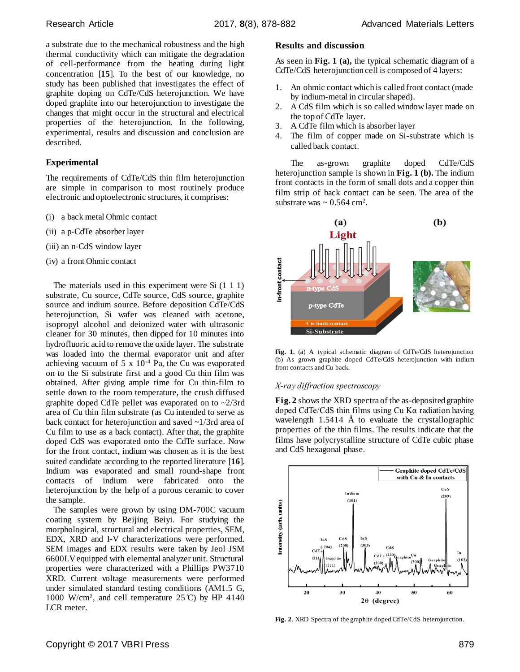a substrate due to the mechanical robustness and the high thermal conductivity which can mitigate the degradation of cell-performance from the heating during light concentration [**[15](#page-4-5)**]. To the best of our knowledge, no study has been published that investigates the effect of graphite doping on CdTe/CdS heterojunction. We have doped graphite into our heterojunction to investigate the changes that might occur in the structural and electrical properties of the heterojunction. In the following, experimental, results and discussion and conclusion are described.

# **Experimental**

The requirements of CdTe/CdS thin film heterojunction are simple in comparison to most routinely produce electronic and optoelectronic structures, it comprises:

- (i) a back metal Ohmic contact
- (ii) a p-CdTe absorber layer
- (iii) an n-CdS window layer
- (iv) a front Ohmic contact

The materials used in this experiment were Si  $(1\ 1\ 1)$ substrate, Cu source, CdTe source, CdS source, graphite source and indium source. Before deposition CdTe/CdS heterojunction, Si wafer was cleaned with acetone, isopropyl alcohol and deionized water with ultrasonic cleaner for 30 minutes, then dipped for 10 minutes into hydrofluoric acid to remove the oxide layer. The substrate was loaded into the thermal evaporator unit and after achieving vacuum of 5 x 10-4 Pa, the Cu was evaporated on to the Si substrate first and a good Cu thin film was obtained. After giving ample time for Cu thin-film to settle down to the room temperature, the crush diffused graphite doped CdTe pellet was evaporated on to ~2/3rd area of Cu thin film substrate (as Cu intended to serve as back contact for heterojunction and saved ~1/3rd area of Cu film to use as a back contact). After that, the graphite doped CdS was evaporated onto the CdTe surface. Now for the front contact, indium was chosen as it is the best suited candidate according to the reported literature [**[16](#page-4-6)**]. Indium was evaporated and small round-shape front contacts of indium were fabricated onto the heterojunction by the help of a porous ceramic to cover the sample.

The samples were grown by using DM-700C vacuum coating system by Beijing Beiyi. For studying the morphological, structural and electrical properties, SEM, EDX, XRD and I-V characterizations were performed. SEM images and EDX results were taken by Jeol JSM 6600LV equipped with elemental analyzer unit. Structural properties were characterized with a Phillips PW3710 XRD. Current–voltage measurements were performed under simulated standard testing conditions (AM1.5 G, 1000 W/cm<sup>2</sup>, and cell temperature  $25^{\circ}$ C) by HP 4140 LCR meter.

## **Results and discussion**

As seen in **Fig. 1 (a),** the typical schematic diagram of a CdTe/CdS heterojunction cell is composed of 4 layers:

- 1. An ohmic contact which is called front contact (made by indium-metal in circular shaped).
- 2. A CdS film which is so called window layer made on the top of CdTe layer.
- 3. A CdTe film which is absorber layer
- 4. The film of copper made on Si-substrate which is called back contact.

The as-grown graphite doped CdTe/CdS heterojunction sample is shown in **Fig. 1 (b).** The indium front contacts in the form of small dots and a copper thin film strip of back contact can be seen. The area of the substrate was  $\sim 0.564 \text{ cm}^2$ .





#### *X-ray diffraction spectroscopy*

**Fig. 2** shows the XRD spectra of the as-deposited graphite doped CdTe/CdS thin films using Cu Kα radiation having wavelength  $1.5414 \text{ Å}$  to evaluate the crystallographic properties of the thin films. The results indicate that the films have polycrystalline structure of CdTe cubic phase and CdS hexagonal phase.



**Fig. 2**. XRD Spectra of the graphite doped CdTe/CdS heterojunction.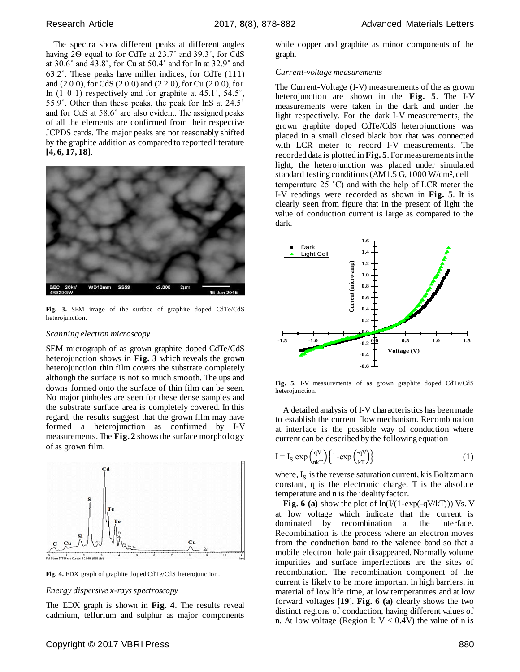The spectra show different peaks at different angles having 2Ѳ equal to for CdTe at 23.7˚ and 39.3˚, for CdS at 30.6˚ and 43.8˚, for Cu at 50.4˚ and for In at 32.9˚ and 63.2˚. These peaks have miller indices, for CdTe (111) and (2 0 0), for CdS (2 0 0) and (2 2 0), for Cu (2 0 0), for In (1 0 1) respectively and for graphite at 45.1˚, 54.5˚, 55.9˚. Other than these peaks, the peak for InS at 24.5˚ and for CuS at 58.6˚ are also evident. The assigned peaks of all the elements are confirmed from their respective JCPDS cards. The major peaks are not reasonably shifted by the graphite addition as compared to reported literature **[\[4,](#page-4-2) [6,](#page-4-7) [17,](#page-4-8) [18\]](#page-4-9)**.



**Fig. 3.** SEM image of the surface of graphite doped CdTe/CdS heterojunction.

# *Scanning electron microscopy*

SEM micrograph of as grown graphite doped CdTe/CdS heterojunction shows in **Fig. 3** which reveals the grown heterojunction thin film covers the substrate completely although the surface is not so much smooth. The ups and downs formed onto the surface of thin film can be seen. No major pinholes are seen for these dense samples and the substrate surface area is completely covered. In this regard, the results suggest that the grown film may have formed a heterojunction as confirmed by I-V measurements. The **Fig. 2** shows the surface morphology of as grown film.



**Fig. 4.** EDX graph of graphite doped CdTe/CdS heterojunction.

#### *Energy dispersive x-rays spectroscopy*

The EDX graph is shown in **Fig. 4**. The results reveal cadmium, tellurium and sulphur as major components

while copper and graphite as minor components of the graph.

## *Current-voltage measurements*

The Current-Voltage (I-V) measurements of the as grown heterojunction are shown in the **Fig. 5**. The I-V measurements were taken in the dark and under the light respectively. For the dark I-V measurements, the grown graphite doped CdTe/CdS heterojunctions was placed in a small closed black box that was connected with LCR meter to record I-V measurements. The recorded data is plotted in **Fig. 5**. For measurements in the light, the heterojunction was placed under simulated standard testing conditions (AM1.5 G, 1000 W/cm<sup>2</sup> , cell temperature 25 ˚C) and with the help of LCR meter the I-V readings were recorded as shown in **Fig. 5**. It is clearly seen from figure that in the present of light the value of conduction current is large as compared to the dark.



**Fig. 5.** I-V measurements of as grown graphite doped CdTe/CdS heterojunction.

A detailed analysis of I-V characteristics has been made to establish the current flow mechanism. Recombination at interface is the possible way of conduction where current can be described by the following equation

$$
I = I_S \exp\left(\frac{qV}{nkT}\right) \left\{1 - \exp\left(\frac{qV}{kT}\right)\right\} \tag{1}
$$

where,  $I_S$  is the reverse saturation current, k is Boltzmann constant, q is the electronic charge, T is the absolute temperature and n is the ideality factor.

**Fig. 6 (a)** show the plot of  $ln(I/(1-exp(-qV/kT)))$  Vs. V at low voltage which indicate that the current is dominated by recombination at the interface. Recombination is the process where an electron moves from the conduction band to the valence band so that a mobile electron–hole pair disappeared. Normally volume impurities and surface imperfections are the sites of recombination. The recombination component of the current is likely to be more important in high barriers, in material of low life time, at low temperatures and at low forward voltages [**[19](#page-4-10)**]. **Fig. 6 (a)** clearly shows the two distinct regions of conduction, having different values of n. At low voltage (Region I:  $V < 0.4V$ ) the value of n is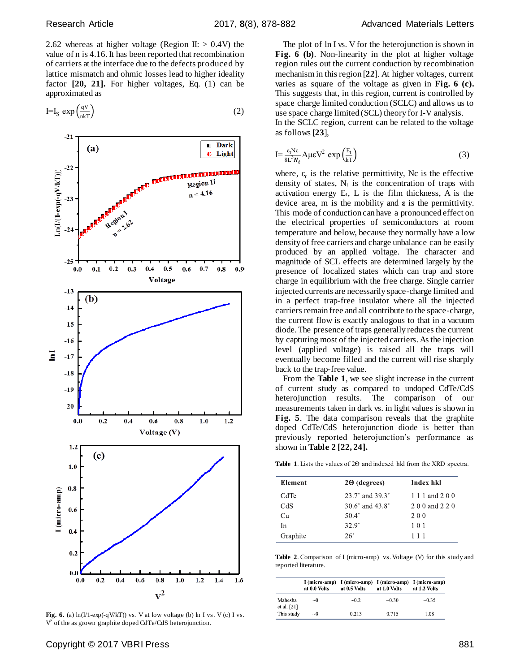2.62 whereas at higher voltage (Region II:  $> 0.4V$ ) the value of n is 4.16. It has been reported that recombination of carriers at the interface due to the defects produced by lattice mismatch and ohmic losses lead to higher ideality factor **[\[20](#page-4-11), [21](#page-4-12)].** For higher voltages, Eq. (1) can be approximated as

$$
I = I_S \exp\left(\frac{qV}{nkT}\right) \tag{2}
$$



**Fig. 6.** (a) ln(I/1-exp(-qV/kT)) vs. V at low voltage (b) ln I vs. V (c) I vs. V<sup>2</sup> of the as grown graphite doped CdTe/CdS heterojunction.

The plot of ln I vs. V for the heterojunction is shown in **Fig. 6 (b)**. Non-linearity in the plot at higher voltage region rules out the current conduction by recombination mechanism in this region [**[22](#page-4-13)**]. At higher voltages, current varies as square of the voltage as given in **Fig. 6 (c).** This suggests that, in this region, current is controlled by space charge limited conduction (SCLC) and allows us to use space charge limited (SCL) theory for I-V analysis. In the SCLC region, current can be related to the voltage as follows [**[23](#page-4-14)**],

$$
I = \frac{\varepsilon_r N c}{8L^3 N_t} A \mu \varepsilon V^2 \exp\left(\frac{E_t}{kT}\right) \tag{3}
$$

where,  $\varepsilon_r$  is the relative permittivity, Nc is the effective density of states,  $N_t$  is the concentration of traps with activation energy  $E_t$ , L is the film thickness, A is the device area, m is the mobility and **ε** is the permittivity. This mode of conduction can have a pronounced effect on the electrical properties of semiconductors at room temperature and below, because they normally have a low density of free carriers and charge unbalance can be easily produced by an applied voltage. The character and magnitude of SCL effects are determined largely by the presence of localized states which can trap and store charge in equilibrium with the free charge. Single carrier injected currents are necessarily space-charge limited and in a perfect trap-free insulator where all the injected carriers remain free and all contribute to the space-charge, the current flow is exactly analogous to that in a vacuum diode. The presence of traps generally reduces the current by capturing most of the injected carriers. As the injection level (applied voltage) is raised all the traps will eventually become filled and the current will rise sharply back to the trap-free value.

From the **Table 1**, we see slight increase in the current of current study as compared to undoped CdTe/CdS heterojunction results. The comparison of our measurements taken in dark vs. in light values is shown in **Fig. 5**. The data comparison reveals that the graphite doped CdTe/CdS heterojunction diode is better than previously reported heterojunction's performance as shown in **Table 2 [\[22](#page-4-13)[, 24\]](#page-4-15).**

**Table 1**. Lists the values of 2Ѳ and indexed hkl from the XRD spectra.

| <b>Element</b> | $2\Theta$ (degrees)                 | Index hkl       |
|----------------|-------------------------------------|-----------------|
| CdTe           | 23.7° and 39.3°                     | 1 1 1 and 2 0 0 |
| CdS            | 30.6 $^{\circ}$ and 43.8 $^{\circ}$ | 2.0.0 and 2.2.0 |
| Cи             | $50.4^{\circ}$                      | 200             |
| In             | $32.9^{\circ}$                      | 101             |
| Graphite       | $26^\circ$                          | 111             |

**Table 2**. Comparison of I (micro-amp) vs. Voltage (V) for this study and reported literature.

|                          | at 0.0 Volts | I (micro-amp) I (micro-amp) I (micro-amp) I (micro-amp)<br>at 0.5 Volts | at 1.0 Volts | at 1.2 Volts |
|--------------------------|--------------|-------------------------------------------------------------------------|--------------|--------------|
| Mahesha<br>et al. $[21]$ | $\sim 0$     | $-0.2$                                                                  | $-0.30$      | $-0.35$      |
| This study               | $\sim 0$     | 0.213                                                                   | 0.715        | 1.08         |